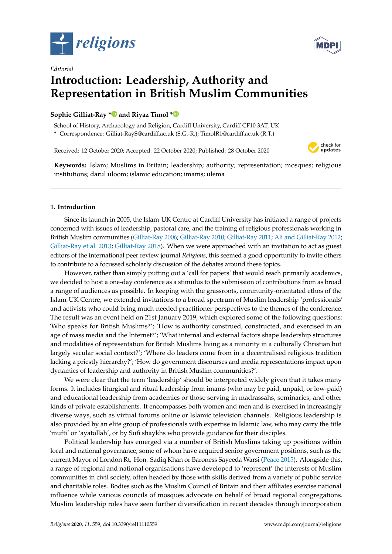



# *Editorial* **Introduction: Leadership, Authority and Representation in British Muslim Communities**

**Sophie Gilliat-Ray [\\*](https://orcid.org/0000-0001-8320-6853) and Riyaz Timol [\\*](https://orcid.org/0000-0002-9035-3576)**

School of History, Archaeology and Religion, Cardiff University, Cardiff CF10 3AT, UK

**\*** Correspondence: Gilliat-RayS@cardiff.ac.uk (S.G.-R.); TimolR1@cardiff.ac.uk (R.T.)

Received: 12 October 2020; Accepted: 22 October 2020; Published: 28 October 2020



**Keywords:** Islam; Muslims in Britain; leadership; authority; representation; mosques; religious institutions; darul uloom; islamic education; imams; ulema

## **1. Introduction**

Since its launch in 2005, the Islam-UK Centre at Cardiff University has initiated a range of projects concerned with issues of leadership, pastoral care, and the training of religious professionals working in British Muslim communities [\(Gilliat-Ray](#page-9-0) [2006;](#page-9-0) [Gilliat-Ray](#page-9-1) [2010;](#page-9-1) [Gilliat-Ray](#page-9-2) [2011;](#page-9-2) [Ali and Gilliat-Ray](#page-9-3) [2012;](#page-9-3) [Gilliat-Ray et al.](#page-9-4) [2013;](#page-9-4) [Gilliat-Ray](#page-9-5) [2018\)](#page-9-5). When we were approached with an invitation to act as guest editors of the international peer review journal *Religions*, this seemed a good opportunity to invite others to contribute to a focussed scholarly discussion of the debates around these topics.

However, rather than simply putting out a 'call for papers' that would reach primarily academics, we decided to host a one-day conference as a stimulus to the submission of contributions from as broad a range of audiences as possible. In keeping with the grassroots, community-orientated ethos of the Islam-UK Centre, we extended invitations to a broad spectrum of Muslim leadership 'professionals' and activists who could bring much-needed practitioner perspectives to the themes of the conference. The result was an event held on 21st January 2019, which explored some of the following questions: 'Who speaks for British Muslims?'; 'How is authority construed, constructed, and exercised in an age of mass media and the Internet?'; 'What internal and external factors shape leadership structures and modalities of representation for British Muslims living as a minority in a culturally Christian but largely secular social context?'; 'Where do leaders come from in a decentralised religious tradition lacking a priestly hierarchy?'; 'How do government discourses and media representations impact upon dynamics of leadership and authority in British Muslim communities?'.

We were clear that the term 'leadership' should be interpreted widely given that it takes many forms. It includes liturgical and ritual leadership from imams (who may be paid, unpaid, or low-paid) and educational leadership from academics or those serving in madrassahs, seminaries, and other kinds of private establishments. It encompasses both women and men and is exercised in increasingly diverse ways, such as virtual forums online or Islamic television channels. Religious leadership is also provided by an elite group of professionals with expertise in Islamic law, who may carry the title 'mufti' or 'ayatollah', or by Sufi shaykhs who provide guidance for their disciples.

Political leadership has emerged via a number of British Muslims taking up positions within local and national governance, some of whom have acquired senior government positions, such as the current Mayor of London Rt. Hon. Sadiq Khan or Baroness Sayeeda Warsi [\(Peace](#page-10-0) [2015\)](#page-10-0). Alongside this, a range of regional and national organisations have developed to 'represent' the interests of Muslim communities in civil society, often headed by those with skills derived from a variety of public service and charitable roles. Bodies such as the Muslim Council of Britain and their affiliates exercise national influence while various councils of mosques advocate on behalf of broad regional congregations. Muslim leadership roles have seen further diversification in recent decades through incorporation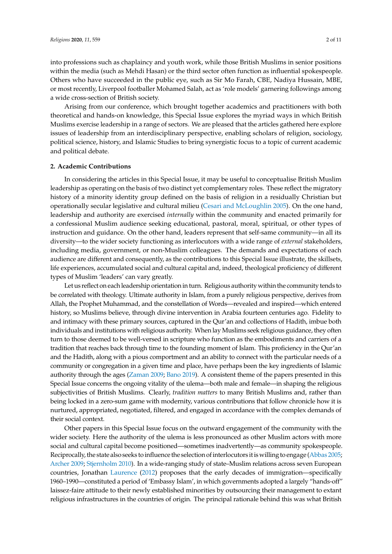into professions such as chaplaincy and youth work, while those British Muslims in senior positions within the media (such as Mehdi Hasan) or the third sector often function as influential spokespeople. Others who have succeeded in the public eye, such as Sir Mo Farah, CBE, Nadiya Hussain, MBE, or most recently, Liverpool footballer Mohamed Salah, act as 'role models' garnering followings among a wide cross-section of British society.

Arising from our conference, which brought together academics and practitioners with both theoretical and hands-on knowledge, this Special Issue explores the myriad ways in which British Muslims exercise leadership in a range of sectors. We are pleased that the articles gathered here explore issues of leadership from an interdisciplinary perspective, enabling scholars of religion, sociology, political science, history, and Islamic Studies to bring synergistic focus to a topic of current academic and political debate.

### **2. Academic Contributions**

In considering the articles in this Special Issue, it may be useful to conceptualise British Muslim leadership as operating on the basis of two distinct yet complementary roles. These reflect the migratory history of a minority identity group defined on the basis of religion in a residually Christian but operationally secular legislative and cultural milieu [\(Cesari and McLoughlin](#page-9-6) [2005\)](#page-9-6). On the one hand, leadership and authority are exercised *internally* within the community and enacted primarily for a confessional Muslim audience seeking educational, pastoral, moral, spiritual, or other types of instruction and guidance. On the other hand, leaders represent that self-same community—in all its diversity—to the wider society functioning as interlocutors with a wide range of *external* stakeholders, including media, government, or non-Muslim colleagues. The demands and expectations of each audience are different and consequently, as the contributions to this Special Issue illustrate, the skillsets, life experiences, accumulated social and cultural capital and, indeed, theological proficiency of different types of Muslim 'leaders' can vary greatly.

Let us reflect on each leadership orientation in turn. Religious authority within the community tends to be correlated with theology. Ultimate authority in Islam, from a purely religious perspective, derives from Allah, the Prophet Muhammad, and the constellation of Words—revealed and inspired—which entered history, so Muslims believe, through divine intervention in Arabia fourteen centuries ago. Fidelity to and intimacy with these primary sources, captured in the Qur'an and collections of Hadith, imbue both individuals and institutions with religious authority. When lay Muslims seek religious guidance, they often turn to those deemed to be well-versed in scripture who function as the embodiments and carriers of a tradition that reaches back through time to the founding moment of Islam. This proficiency in the Qur'an and the Hadith, along with a pious comportment and an ability to connect with the particular needs of a community or congregation in a given time and place, have perhaps been the key ingredients of Islamic authority through the ages [\(Zaman](#page-10-1) [2009;](#page-10-1) [Bano](#page-9-7) [2019\)](#page-9-7). A consistent theme of the papers presented in this Special Issue concerns the ongoing vitality of the ulema—both male and female—in shaping the religious subjectivities of British Muslims. Clearly, *tradition matters* to many British Muslims and, rather than being locked in a zero-sum game with modernity, various contributions that follow chronicle how it is nurtured, appropriated, negotiated, filtered, and engaged in accordance with the complex demands of their social context.

Other papers in this Special Issue focus on the outward engagement of the community with the wider society. Here the authority of the ulema is less pronounced as other Muslim actors with more social and cultural capital become positioned—sometimes inadvertently—as community spokespeople. Reciprocally, the state also seeks to influence the selection of interlocutors it is willing to engage [\(Abbas](#page-9-8) [2005;](#page-9-8) [Archer](#page-9-9) [2009;](#page-9-9) [Stjernholm](#page-10-2) [2010\)](#page-10-2). In a wide-ranging study of state–Muslim relations across seven European countries, Jonathan [Laurence](#page-10-3) [\(2012\)](#page-10-3) proposes that the early decades of immigration—specifically 1960–1990—constituted a period of 'Embassy Islam', in which governments adopted a largely "hands-off" laissez-faire attitude to their newly established minorities by outsourcing their management to extant religious infrastructures in the countries of origin. The principal rationale behind this was what British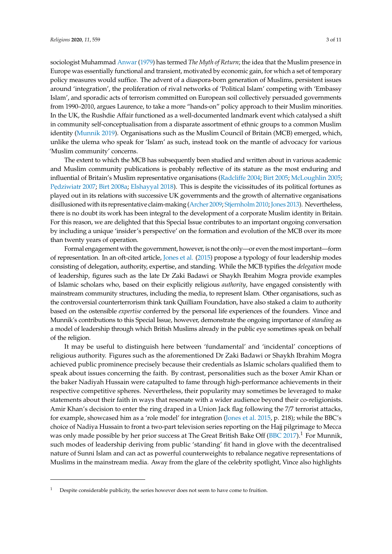sociologist Muhammad Anwar (1979) has termed *The Myth of Return*; the idea that the Muslim presence in Europe was essentially functional and transient, motivated by economic gain, for which a set of temporary policy measures would suffice. The advent of a diaspora-born generation of Muslims, persistent issues around 'integration', the proliferation of rival networks of 'Political Islam' competing with 'Embassy Islam', and sporadic acts of terrorism committed on European soil collectively persuaded governments from 1990–2010, argues Laurence, to take a more "hands-on" policy approach to their Muslim minorities. In the UK, the Rushdie Affair functioned as a well-documented landmark event which catalysed a shift in community self-conceptualisation from a disparate assortment of ethnic groups to a common Muslim identity [\(Munnik](#page-10-4) [2019\)](#page-10-4). Organisations such as the Muslim Council of Britain (MCB) emerged, which, unlike the ulema who speak for 'Islam' as such, instead took on the mantle of advocacy for various 'Muslim community' concerns.

The extent to which the MCB has subsequently been studied and written about in various academic and Muslim community publications is probably reflective of its stature as the most enduring and influential of Britain's Muslim representative organisations [\(Radcliffe](#page-10-5) [2004;](#page-10-5) [Birt](#page-9-11) [2005;](#page-9-11) [McLoughlin](#page-10-6) [2005;](#page-10-6) Pędziwiatr [2007;](#page-10-7) [Birt](#page-9-12) [2008a;](#page-9-12) [Elshayyal](#page-9-13) [2018\)](#page-9-13). This is despite the vicissitudes of its political fortunes as played out in its relations with successive UK governments and the growth of alternative organisations disillusioned with its representative claim-making [\(Archer](#page-9-9) [2009;](#page-9-9) Stjernholm 2010; [Jones](#page-9-14) [2013\)](#page-9-14). Nevertheless, there is no doubt its work has been integral to the development of a corporate Muslim identity in Britain. For this reason, we are delighted that this Special Issue contributes to an important ongoing conversation by including a unique 'insider's perspective' on the formation and evolution of the MCB over its more than twenty years of operation.

Formal engagement with the government, however, is not the only—or even the most important—form of representation. In an oft-cited article, [Jones et al.](#page-9-15) [\(2015\)](#page-9-15) propose a typology of four leadership modes consisting of delegation, authority, expertise, and standing. While the MCB typifies the *delegation* mode of leadership, figures such as the late Dr Zaki Badawi or Shaykh Ibrahim Mogra provide examples of Islamic scholars who, based on their explicitly religious *authority*, have engaged consistently with mainstream community structures, including the media, to represent Islam. Other organisations, such as the controversial counterterrorism think tank Quilliam Foundation, have also staked a claim to authority based on the ostensible *expertise* conferred by the personal life experiences of the founders. Vince and Munnik's contributions to this Special Issue, however, demonstrate the ongoing importance of *standing* as a model of leadership through which British Muslims already in the public eye sometimes speak on behalf of the religion.

It may be useful to distinguish here between 'fundamental' and 'incidental' conceptions of religious authority. Figures such as the aforementioned Dr Zaki Badawi or Shaykh Ibrahim Mogra achieved public prominence precisely because their credentials as Islamic scholars qualified them to speak about issues concerning the faith. By contrast, personalities such as the boxer Amir Khan or the baker Nadiyah Hussain were catapulted to fame through high-performance achievements in their respective competitive spheres. Nevertheless, their popularity may sometimes be leveraged to make statements about their faith in ways that resonate with a wider audience beyond their co-religionists. Amir Khan's decision to enter the ring draped in a Union Jack flag following the 7/7 terrorist attacks, for example, showcased him as a 'role model' for integration [\(Jones et al.](#page-9-15) [2015,](#page-9-15) p. 218); while the BBC's choice of Nadiya Hussain to front a two-part television series reporting on the Hajj pilgrimage to Mecca was only made possible by her prior success at The Great British Bake Off [\(BBC](#page-9-16) [2017\)](#page-9-16).<sup>1</sup> For Munnik, such modes of leadership deriving from public 'standing' fit hand in glove with the decentralised nature of Sunni Islam and can act as powerful counterweights to rebalance negative representations of Muslims in the mainstream media. Away from the glare of the celebrity spotlight, Vince also highlights

 $1$  Despite considerable publicity, the series however does not seem to have come to fruition.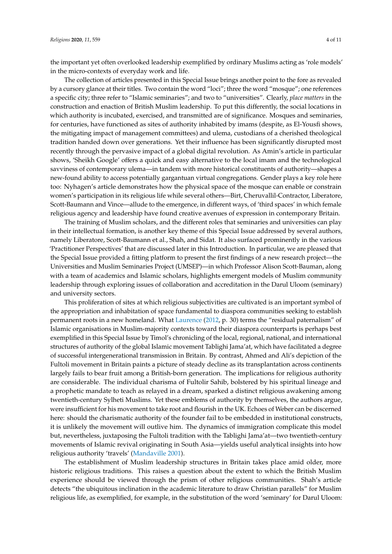the important yet often overlooked leadership exemplified by ordinary Muslims acting as 'role models' in the micro-contexts of everyday work and life.

The collection of articles presented in this Special Issue brings another point to the fore as revealed by a cursory glance at their titles. Two contain the word "loci"; three the word "mosque"; one references a specific city; three refer to "Islamic seminaries"; and two to "universities". Clearly, *place matters* in the construction and enaction of British Muslim leadership. To put this differently, the social locations in which authority is incubated, exercised, and transmitted are of significance. Mosques and seminaries, for centuries, have functioned as sites of authority inhabited by imams (despite, as El-Yousfi shows, the mitigating impact of management committees) and ulema, custodians of a cherished theological tradition handed down over generations. Yet their influence has been significantly disrupted most recently through the pervasive impact of a global digital revolution. As Amin's article in particular shows, 'Sheikh Google' offers a quick and easy alternative to the local imam and the technological savviness of contemporary ulema—in tandem with more historical constituents of authority—shapes a new-found ability to access potentially gargantuan virtual congregations. Gender plays a key role here too: Nyhagen's article demonstrates how the physical space of the mosque can enable or constrain women's participation in its religious life while several others—Birt, Cheruvallil-Contractor, Liberatore, Scott-Baumann and Vince—allude to the emergence, in different ways, of 'third spaces' in which female religious agency and leadership have found creative avenues of expression in contemporary Britain.

The training of Muslim scholars, and the different roles that seminaries and universities can play in their intellectual formation, is another key theme of this Special Issue addressed by several authors, namely Liberatore, Scott-Baumann et al., Shah, and Sidat. It also surfaced prominently in the various 'Practitioner Perspectives' that are discussed later in this Introduction. In particular, we are pleased that the Special Issue provided a fitting platform to present the first findings of a new research project—the Universities and Muslim Seminaries Project (UMSEP)—in which Professor Alison Scott-Bauman, along with a team of academics and Islamic scholars, highlights emergent models of Muslim community leadership through exploring issues of collaboration and accreditation in the Darul Uloom (seminary) and university sectors.

This proliferation of sites at which religious subjectivities are cultivated is an important symbol of the appropriation and inhabitation of space fundamental to diaspora communities seeking to establish permanent roots in a new homeland. What [Laurence](#page-10-3) [\(2012,](#page-10-3) p. 30) terms the "residual paternalism" of Islamic organisations in Muslim-majority contexts toward their diaspora counterparts is perhaps best exemplified in this Special Issue by Timol's chronicling of the local, regional, national, and international structures of authority of the global Islamic movement Tablighi Jama'at, which have facilitated a degree of successful intergenerational transmission in Britain. By contrast, Ahmed and Ali's depiction of the Fultoli movement in Britain paints a picture of steady decline as its transplantation across continents largely fails to bear fruit among a British-born generation. The implications for religious authority are considerable. The individual charisma of Fultolir Sahib, bolstered by his spiritual lineage and a prophetic mandate to teach as relayed in a dream, sparked a distinct religious awakening among twentieth-century Sylheti Muslims. Yet these emblems of authority by themselves, the authors argue, were insufficient for his movement to take root and flourish in the UK. Echoes of Weber can be discerned here: should the charismatic authority of the founder fail to be embedded in institutional constructs, it is unlikely the movement will outlive him. The dynamics of immigration complicate this model but, nevertheless, juxtaposing the Fultoli tradition with the Tablighi Jama'at—two twentieth-century movements of Islamic revival originating in South Asia—yields useful analytical insights into how religious authority 'travels' [\(Mandaville](#page-10-8) [2001\)](#page-10-8).

The establishment of Muslim leadership structures in Britain takes place amid older, more historic religious traditions. This raises a question about the extent to which the British Muslim experience should be viewed through the prism of other religious communities. Shah's article detects "the ubiquitous inclination in the academic literature to draw Christian parallels" for Muslim religious life, as exemplified, for example, in the substitution of the word 'seminary' for Darul Uloom: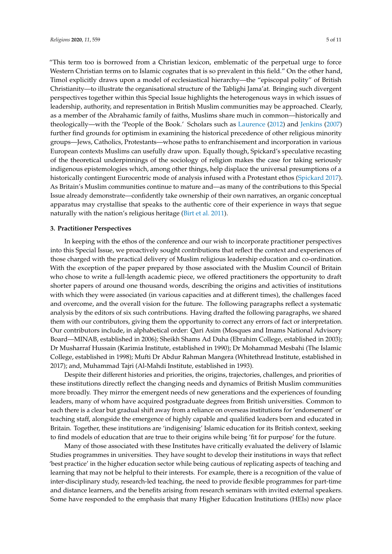"This term too is borrowed from a Christian lexicon, emblematic of the perpetual urge to force Western Christian terms on to Islamic cognates that is so prevalent in this field." On the other hand, Timol explicitly draws upon a model of ecclesiastical hierarchy—the "episcopal polity" of British Christianity—to illustrate the organisational structure of the Tablighi Jama'at. Bringing such divergent perspectives together within this Special Issue highlights the heterogenous ways in which issues of leadership, authority, and representation in British Muslim communities may be approached. Clearly, as a member of the Abrahamic family of faiths, Muslims share much in common—historically and theologically—with the 'People of the Book.' Scholars such as [Laurence](#page-10-3) [\(2012\)](#page-10-3) and [Jenkins](#page-9-17) [\(2007\)](#page-9-17) further find grounds for optimism in examining the historical precedence of other religious minority groups—Jews, Catholics, Protestants—whose paths to enfranchisement and incorporation in various European contexts Muslims can usefully draw upon. Equally though, Spickard's speculative recasting of the theoretical underpinnings of the sociology of religion makes the case for taking seriously indigenous epistemologies which, among other things, help displace the universal presumptions of a historically contingent Eurocentric mode of analysis infused with a Protestant ethos [\(Spickard](#page-10-9) [2017\)](#page-10-9). As Britain's Muslim communities continue to mature and—as many of the contributions to this Special Issue already demonstrate—confidently take ownership of their own narratives, an organic conceptual apparatus may crystallise that speaks to the authentic core of their experience in ways that segue naturally with the nation's religious heritage [\(Birt et al.](#page-9-18) [2011\)](#page-9-18).

#### **3. Practitioner Perspectives**

In keeping with the ethos of the conference and our wish to incorporate practitioner perspectives into this Special Issue, we proactively sought contributions that reflect the context and experiences of those charged with the practical delivery of Muslim religious leadership education and co-ordination. With the exception of the paper prepared by those associated with the Muslim Council of Britain who chose to write a full-length academic piece, we offered practitioners the opportunity to draft shorter papers of around one thousand words, describing the origins and activities of institutions with which they were associated (in various capacities and at different times), the challenges faced and overcome, and the overall vision for the future. The following paragraphs reflect a systematic analysis by the editors of six such contributions. Having drafted the following paragraphs, we shared them with our contributors, giving them the opportunity to correct any errors of fact or interpretation. Our contributors include, in alphabetical order: Qari Asim (Mosques and Imams National Advisory Board—MINAB, established in 2006); Sheikh Shams Ad Duha (Ebrahim College, established in 2003); Dr Musharraf Hussain (Karimia Institute, established in 1990); Dr Mohammad Mesbahi (The Islamic College, established in 1998); Mufti Dr Abdur Rahman Mangera (Whitethread Institute, established in 2017); and, Muhammad Tajri (Al-Mahdi Institute, established in 1993).

Despite their different histories and priorities, the origins, trajectories, challenges, and priorities of these institutions directly reflect the changing needs and dynamics of British Muslim communities more broadly. They mirror the emergent needs of new generations and the experiences of founding leaders, many of whom have acquired postgraduate degrees from British universities. Common to each there is a clear but gradual shift away from a reliance on overseas institutions for 'endorsement' or teaching staff, alongside the emergence of highly capable and qualified leaders born and educated in Britain. Together, these institutions are 'indigenising' Islamic education for its British context, seeking to find models of education that are true to their origins while being 'fit for purpose' for the future.

Many of those associated with these Institutes have critically evaluated the delivery of Islamic Studies programmes in universities. They have sought to develop their institutions in ways that reflect 'best practice' in the higher education sector while being cautious of replicating aspects of teaching and learning that may not be helpful to their interests. For example, there is a recognition of the value of inter-disciplinary study, research-led teaching, the need to provide flexible programmes for part-time and distance learners, and the benefits arising from research seminars with invited external speakers. Some have responded to the emphasis that many Higher Education Institutions (HEIs) now place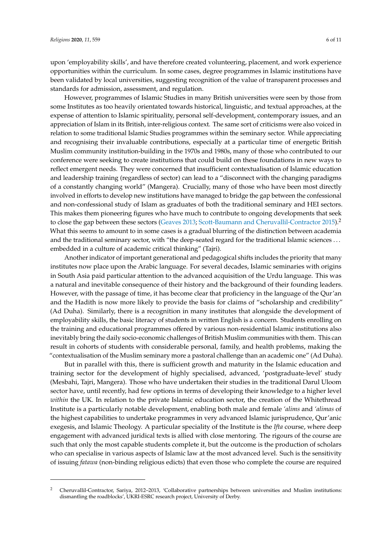upon 'employability skills', and have therefore created volunteering, placement, and work experience opportunities within the curriculum. In some cases, degree programmes in Islamic institutions have been validated by local universities, suggesting recognition of the value of transparent processes and standards for admission, assessment, and regulation.

However, programmes of Islamic Studies in many British universities were seen by those from some Institutes as too heavily orientated towards historical, linguistic, and textual approaches, at the expense of attention to Islamic spirituality, personal self-development, contemporary issues, and an appreciation of Islam in its British, inter-religious context. The same sort of criticisms were also voiced in relation to some traditional Islamic Studies programmes within the seminary sector. While appreciating and recognising their invaluable contributions, especially at a particular time of energetic British Muslim community institution-building in the 1970s and 1980s, many of those who contributed to our conference were seeking to create institutions that could build on these foundations in new ways to reflect emergent needs. They were concerned that insufficient contextualisation of Islamic education and leadership training (regardless of sector) can lead to a "disconnect with the changing paradigms of a constantly changing world" (Mangera). Crucially, many of those who have been most directly involved in efforts to develop new institutions have managed to bridge the gap between the confessional and non-confessional study of Islam as graduates of both the traditional seminary and HEI sectors. This makes them pioneering figures who have much to contribute to ongoing developments that seek to close the gap between these sectors [\(Geaves](#page-9-19) [2013;](#page-9-19) [Scott-Baumann and Cheruvallil-Contractor](#page-10-10) [2015\)](#page-10-10).<sup>2</sup> What this seems to amount to in some cases is a gradual blurring of the distinction between academia and the traditional seminary sector, with "the deep-seated regard for the traditional Islamic sciences ... embedded in a culture of academic critical thinking" (Tajri).

Another indicator of important generational and pedagogical shifts includes the priority that many institutes now place upon the Arabic language. For several decades, Islamic seminaries with origins in South Asia paid particular attention to the advanced acquisition of the Urdu language. This was a natural and inevitable consequence of their history and the background of their founding leaders. However, with the passage of time, it has become clear that proficiency in the language of the Qur'an and the Hadith is now more likely to provide the basis for claims of "scholarship and credibility" (Ad Duha). Similarly, there is a recognition in many institutes that alongside the development of employability skills, the basic literacy of students in written English is a concern. Students enrolling on the training and educational programmes offered by various non-residential Islamic institutions also inevitably bring the daily socio-economic challenges of British Muslim communities with them. This can result in cohorts of students with considerable personal, family, and health problems, making the "contextualisation of the Muslim seminary more a pastoral challenge than an academic one" (Ad Duha).

But in parallel with this, there is sufficient growth and maturity in the Islamic education and training sector for the development of highly specialised, advanced, 'postgraduate-level' study (Mesbahi, Tajri, Mangera). Those who have undertaken their studies in the traditional Darul Uloom sector have, until recently, had few options in terms of developing their knowledge to a higher level *within* the UK. In relation to the private Islamic education sector, the creation of the Whitethread Institute is a particularly notable development, enabling both male and female *'alims* and *'alimas* of the highest capabilities to undertake programmes in very advanced Islamic jurisprudence, Qur'anic exegesis, and Islamic Theology. A particular speciality of the Institute is the *Ifta* course, where deep engagement with advanced juridical texts is allied with close mentoring. The rigours of the course are such that only the most capable students complete it, but the outcome is the production of scholars who can specialise in various aspects of Islamic law at the most advanced level. Such is the sensitivity of issuing *fatawa* (non-binding religious edicts) that even those who complete the course are required

<sup>2</sup> Cheruvallil-Contractor, Sariya, 2012–2013, 'Collaborative partnerships between universities and Muslim institutions: dismantling the roadblocks', UKRI-ESRC research project, University of Derby.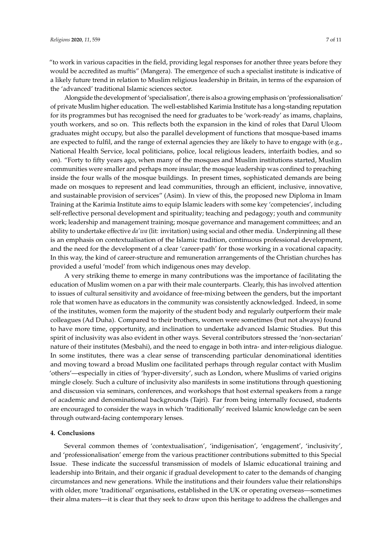"to work in various capacities in the field, providing legal responses for another three years before they would be accredited as muftis" (Mangera). The emergence of such a specialist institute is indicative of a likely future trend in relation to Muslim religious leadership in Britain, in terms of the expansion of the 'advanced' traditional Islamic sciences sector.

Alongside the development of 'specialisation', there is also a growing emphasis on 'professionalisation' of private Muslim higher education. The well-established Karimia Institute has a long-standing reputation for its programmes but has recognised the need for graduates to be 'work-ready' as imams, chaplains, youth workers, and so on. This reflects both the expansion in the kind of roles that Darul Uloom graduates might occupy, but also the parallel development of functions that mosque-based imams are expected to fulfil, and the range of external agencies they are likely to have to engage with (e.g., National Health Service, local politicians, police, local religious leaders, interfaith bodies, and so on). "Forty to fifty years ago, when many of the mosques and Muslim institutions started, Muslim communities were smaller and perhaps more insular; the mosque leadership was confined to preaching inside the four walls of the mosque buildings. In present times, sophisticated demands are being made on mosques to represent and lead communities, through an efficient, inclusive, innovative, and sustainable provision of services" (Asim). In view of this, the proposed new Diploma in Imam Training at the Karimia Institute aims to equip Islamic leaders with some key 'competencies', including self-reflective personal development and spirituality; teaching and pedagogy; youth and community work; leadership and management training; mosque governance and management committees; and an ability to undertake effective *da'wa* (lit: invitation) using social and other media. Underpinning all these is an emphasis on contextualisation of the Islamic tradition, continuous professional development, and the need for the development of a clear 'career-path' for those working in a vocational capacity. In this way, the kind of career-structure and remuneration arrangements of the Christian churches has provided a useful 'model' from which indigenous ones may develop.

A very striking theme to emerge in many contributions was the importance of facilitating the education of Muslim women on a par with their male counterparts. Clearly, this has involved attention to issues of cultural sensitivity and avoidance of free-mixing between the genders, but the important role that women have as educators in the community was consistently acknowledged. Indeed, in some of the institutes, women form the majority of the student body and regularly outperform their male colleagues (Ad Duha). Compared to their brothers, women were sometimes (but not always) found to have more time, opportunity, and inclination to undertake advanced Islamic Studies. But this spirit of inclusivity was also evident in other ways. Several contributors stressed the 'non-sectarian' nature of their institutes (Mesbahi), and the need to engage in both intra- and inter-religious dialogue. In some institutes, there was a clear sense of transcending particular denominational identities and moving toward a broad Muslim one facilitated perhaps through regular contact with Muslim 'others'—especially in cities of 'hyper-diversity', such as London, where Muslims of varied origins mingle closely. Such a culture of inclusivity also manifests in some institutions through questioning and discussion via seminars, conferences, and workshops that host external speakers from a range of academic and denominational backgrounds (Tajri). Far from being internally focused, students are encouraged to consider the ways in which 'traditionally' received Islamic knowledge can be seen through outward-facing contemporary lenses.

#### **4. Conclusions**

Several common themes of 'contextualisation', 'indigenisation', 'engagement', 'inclusivity', and 'professionalisation' emerge from the various practitioner contributions submitted to this Special Issue. These indicate the successful transmission of models of Islamic educational training and leadership into Britain, and their organic if gradual development to cater to the demands of changing circumstances and new generations. While the institutions and their founders value their relationships with older, more 'traditional' organisations, established in the UK or operating overseas—sometimes their alma maters—it is clear that they seek to draw upon this heritage to address the challenges and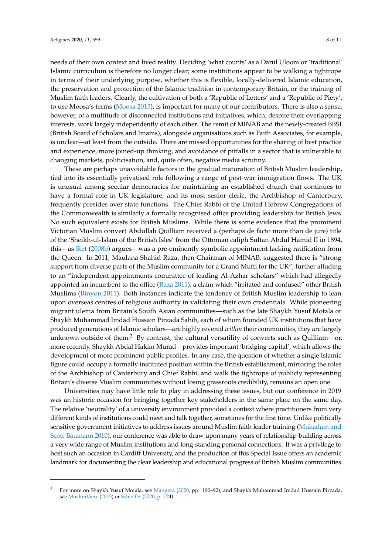needs of their own context and lived reality. Deciding 'what counts' as a Darul Uloom or 'traditional' Islamic curriculum is therefore no longer clear; some institutions appear to be walking a tightrope in terms of their underlying purpose, whether this is flexible, locally-delivered Islamic education, the preservation and protection of the Islamic tradition in contemporary Britain, or the training of Muslim faith leaders. Clearly, the cultivation of both a 'Republic of Letters' and a 'Republic of Piety', to use Moosa's terms [\(Moosa](#page-10-11) [2015\)](#page-10-11), is important for many of our contributors. There is also a sense, however, of a multitude of disconnected institutions and initiatives, which, despite their overlapping interests, work largely independently of each other. The remit of MINAB and the newly-created BBSI (British Board of Scholars and Imams), alongside organisations such as Faith Associates, for example, is unclear—at least from the outside. There are missed opportunities for the sharing of best practice and experience, more joined-up thinking, and avoidance of pitfalls in a sector that is vulnerable to changing markets, politicisation, and, quite often, negative media scrutiny.

These are perhaps unavoidable factors in the gradual maturation of British Muslim leadership, tied into its essentially privatised role following a range of post-war immigration flows. The UK is unusual among secular democracies for maintaining an established church that continues to have a formal role in UK legislature, and its most senior cleric, the Archbishop of Canterbury, frequently presides over state functions. The Chief Rabbi of the United Hebrew Congregations of the Commonwealth is similarly a formally recognised office providing leadership for British Jews. No such equivalent exists for British Muslims. While there is some evidence that the prominent Victorian Muslim convert Abdullah Quilliam received a (perhaps de facto more than de jure) title of the 'Sheikh-ul-Islam of the British Isles' from the Ottoman caliph Sultan Abdul Hamid II in 1894, this—as [Birt](#page-9-20) [\(2008b\)](#page-9-20) argues—was a pre-eminently symbolic appointment lacking ratification from the Queen. In 2011, Maulana Shahid Raza, then Chairman of MINAB, suggested there is "strong support from diverse parts of the Muslim community for a Grand Mufti for the UK", further alluding to an "independent appointments committee of leading Al-Azhar scholars" which had allegedly appointed an incumbent to the office [\(Raza](#page-10-12) [2011\)](#page-10-12); a claim which "irritated and confused" other British Muslims [\(Binyon](#page-9-21) [2011\)](#page-9-21). Both instances indicate the tendency of British Muslim leadership to lean upon overseas centres of religious authority in validating their own credentials. While pioneering migrant ulema from Britain's South Asian communities—such as the late Shaykh Yusuf Motala or Shaykh Muhammad Imdad Hussain Pirzada Sahib, each of whom founded UK institutions that have produced generations of Islamic scholars—are highly revered *within* their communities, they are largely unknown outside of them.<sup>3</sup> By contrast, the cultural versatility of converts such as Quilliam—or, more recently, Shaykh Abdal Hakim Murad—provides important 'bridging capital', which allows the development of more prominent public profiles. In any case, the question of whether a single Islamic figure could occupy a formally instituted position within the British establishment, mirroring the roles of the Archbishop of Canterbury and Chief Rabbi, and walk the tightrope of publicly representing Britain's diverse Muslim communities without losing grassroots credibility, remains an open one.

Universities may have little role to play in addressing these issues, but our conference in 2019 was an historic occasion for bringing together key stakeholders in the same place on the same day. The relative 'neutrality' of a university environment provided a context where practitioners from very different kinds of institutions could meet and talk together, sometimes for the first time. Unlike politically sensitive government initiatives to address issues around Muslim faith leader training [\(Mukadam and](#page-10-13) [Scott-Baumann](#page-10-13) [2010\)](#page-10-13), our conference was able to draw upon many years of relationship-building across a very wide range of Muslim institutions and long-standing personal connections. It was a privilege to host such an occasion in Cardiff University, and the production of this Special Issue offers an academic landmark for documenting the clear leadership and educational progress of British Muslim communities.

<sup>3</sup> For more on Shaykh Yusuf Motala, see [Mangera](#page-10-14) [\(2020,](#page-10-14) pp. 190–92); and Shaykh Muhammad Imdad Hussain Pirzada, see [MuslimView](#page-10-15) [\(2015\)](#page-10-15) or [Schleifer](#page-10-16) [\(2020,](#page-10-16) p. 124).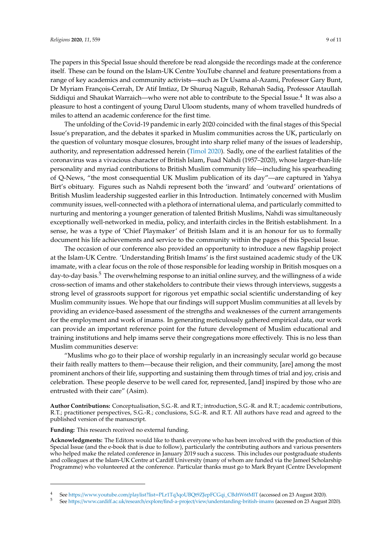The papers in this Special Issue should therefore be read alongside the recordings made at the conference itself. These can be found on the Islam-UK Centre YouTube channel and feature presentations from a range of key academics and community activists—such as Dr Usama al-Azami, Professor Gary Bunt, Dr Myriam François-Cerrah, Dr Atif Imtiaz, Dr Shuruq Naguib, Rehanah Sadiq, Professor Ataullah Siddiqui and Shaukat Warraich—who were not able to contribute to the Special Issue. $^4$  It was also a pleasure to host a contingent of young Darul Uloom students, many of whom travelled hundreds of miles to attend an academic conference for the first time.

The unfolding of the Covid-19 pandemic in early 2020 coincided with the final stages of this Special Issue's preparation, and the debates it sparked in Muslim communities across the UK, particularly on the question of voluntary mosque closures, brought into sharp relief many of the issues of leadership, authority, and representation addressed herein [\(Timol](#page-10-17) [2020\)](#page-10-17). Sadly, one of the earliest fatalities of the coronavirus was a vivacious character of British Islam, Fuad Nahdi (1957–2020), whose larger-than-life personality and myriad contributions to British Muslim community life—including his spearheading of Q-News, "the most consequential UK Muslim publication of its day"—are captured in Yahya Birt's obituary. Figures such as Nahdi represent both the 'inward' and 'outward' orientations of British Muslim leadership suggested earlier in this Introduction. Intimately concerned with Muslim community issues, well-connected with a plethora of international ulema, and particularly committed to nurturing and mentoring a younger generation of talented British Muslims, Nahdi was simultaneously exceptionally well-networked in media, policy, and interfaith circles in the British establishment. In a sense, he was a type of 'Chief Playmaker' of British Islam and it is an honour for us to formally document his life achievements and service to the community within the pages of this Special Issue.

The occasion of our conference also provided an opportunity to introduce a new flagship project at the Islam-UK Centre. 'Understanding British Imams' is the first sustained academic study of the UK imamate, with a clear focus on the role of those responsible for leading worship in British mosques on a day-to-day basis.<sup>5</sup> The overwhelming response to an initial online survey, and the willingness of a wide cross-section of imams and other stakeholders to contribute their views through interviews, suggests a strong level of grassroots support for rigorous yet empathic social scientific understanding of key Muslim community issues. We hope that our findings will support Muslim communities at all levels by providing an evidence-based assessment of the strengths and weaknesses of the current arrangements for the employment and work of imams. In generating meticulously gathered empirical data, our work can provide an important reference point for the future development of Muslim educational and training institutions and help imams serve their congregations more effectively. This is no less than Muslim communities deserve:

"Muslims who go to their place of worship regularly in an increasingly secular world go because their faith really matters to them—because their religion, and their community, [are] among the most prominent anchors of their life, supporting and sustaining them through times of trial and joy, crisis and celebration. These people deserve to be well cared for, represented, [and] inspired by those who are entrusted with their care" (Asim).

**Author Contributions:** Conceptualisation, S.G.-R. and R.T.; introduction, S.G.-R. and R.T.; academic contributions, R.T.; practitioner perspectives, S.G.-R.; conclusions, S.G.-R. and R.T. All authors have read and agreed to the published version of the manuscript.

**Funding:** This research received no external funding.

**Acknowledgments:** The Editors would like to thank everyone who has been involved with the production of this Special Issue (and the e-book that is due to follow), particularly the contributing authors and various presenters who helped make the related conference in January 2019 such a success. This includes our postgraduate students and colleagues at the Islam-UK Centre at Cardiff University (many of whom are funded via the Jameel Scholarship Programme) who volunteered at the conference. Particular thanks must go to Mark Bryant (Centre Development

<sup>4</sup> See https://www.youtube.com/playlist?list=[PLr1Tq3qoUBQt9ZJepFCGqi\\_CBdtW6tMlT](https://www.youtube.com/playlist?list=PLr1Tq3qoUBQt9ZJepFCGqi_CBdtW6tMlT) (accessed on 23 August 2020).

<sup>5</sup> See https://www.cardiff.ac.uk/research/explore/find-a-project/view/[understanding-british-imams](https://www.cardiff.ac.uk/research/explore/find-a-project/view/understanding-british-imams) (accessed on 23 August 2020).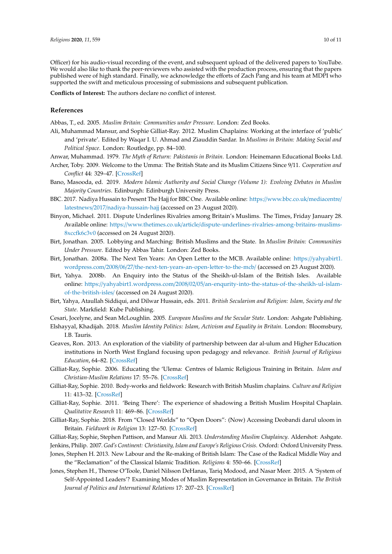Officer) for his audio-visual recording of the event, and subsequent upload of the delivered papers to YouTube. We would also like to thank the peer-reviewers who assisted with the production process, ensuring that the papers published were of high standard. Finally, we acknowledge the efforts of Zach Pang and his team at MDPI who supported the swift and meticulous processing of submissions and subsequent publication.

**Conflicts of Interest:** The authors declare no conflict of interest.

#### **References**

<span id="page-9-8"></span>Abbas, T., ed. 2005. *Muslim Britain: Communities under Pressure*. London: Zed Books.

- <span id="page-9-3"></span>Ali, Muhammad Mansur, and Sophie Gilliat-Ray. 2012. Muslim Chaplains: Working at the interface of 'public' and 'private'. Edited by Waqar I. U. Ahmad and Ziauddin Sardar. In *Muslims in Britain: Making Social and Political Space*. London: Routledge, pp. 84–100.
- <span id="page-9-10"></span>Anwar, Muhammad. 1979. *The Myth of Return: Pakistanis in Britain*. London: Heinemann Educational Books Ltd.
- <span id="page-9-9"></span>Archer, Toby. 2009. Welcome to the Umma: The British State and its Muslim Citizens Since 9/11. *Cooperation and Conflict* 44: 329–47. [\[CrossRef\]](http://dx.doi.org/10.1177/0010836709106219)
- <span id="page-9-7"></span>Bano, Masooda, ed. 2019. *Modern Islamic Authority and Social Change (Volume 1): Evolving Debates in Muslim Majority Countries*. Edinburgh: Edinburgh University Press.
- <span id="page-9-16"></span>BBC. 2017. Nadiya Hussain to Present The Hajj for BBC One. Available online: https://[www.bbc.co.uk](https://www.bbc.co.uk/mediacentre/latestnews/2017/nadiya-hussain-hajj)/mediacentre/ latestnews/2017/[nadiya-hussain-hajj](https://www.bbc.co.uk/mediacentre/latestnews/2017/nadiya-hussain-hajj) (accessed on 23 August 2020).
- <span id="page-9-21"></span>Binyon, Michael. 2011. Dispute Underlines Rivalries among Britain's Muslims. The Times, Friday January 28. Available online: https://www.thetimes.co.uk/article/[dispute-underlines-rivalries-among-britains-muslims-](https://www.thetimes.co.uk/article/dispute-underlines-rivalries-among-britains-muslims-8xccfk6c3v0)[8xccfk6c3v0](https://www.thetimes.co.uk/article/dispute-underlines-rivalries-among-britains-muslims-8xccfk6c3v0) (accessed on 24 August 2020).
- <span id="page-9-11"></span>Birt, Jonathan. 2005. Lobbying and Marching: British Muslims and the State. In *Muslim Britain: Communities Under Pressure*. Edited by Abbas Tahir. London: Zed Books.
- <span id="page-9-12"></span>Birt, Jonathan. 2008a. The Next Ten Years: An Open Letter to the MCB. Available online: https://[yahyabirt1.](https://yahyabirt1.wordpress.com/2008/06/27/the-next-ten-years-an-open-letter-to-the-mcb/) wordpress.com/2008/06/27/[the-next-ten-years-an-open-letter-to-the-mcb](https://yahyabirt1.wordpress.com/2008/06/27/the-next-ten-years-an-open-letter-to-the-mcb/)/ (accessed on 23 August 2020).
- <span id="page-9-20"></span>Birt, Yahya. 2008b. An Enquiry into the Status of the Sheikh-ul-Islam of the British Isles. Available online: https://yahyabirt1.wordpress.com/2008/02/05/[an-enqurity-into-the-status-of-the-sheikh-ul-islam](https://yahyabirt1.wordpress.com/2008/02/05/an-enqurity-into-the-status-of-the-sheikh-ul-islam-of-the-british-isles/)[of-the-british-isles](https://yahyabirt1.wordpress.com/2008/02/05/an-enqurity-into-the-status-of-the-sheikh-ul-islam-of-the-british-isles/)/ (accessed on 24 August 2020).
- <span id="page-9-18"></span>Birt, Yahya, Ataullah Siddiqui, and Dilwar Hussain, eds. 2011. *British Secularism and Religion: Islam, Society and the State*. Markfield: Kube Publishing.
- <span id="page-9-13"></span><span id="page-9-6"></span>Cesari, Jocelyne, and Sean McLoughlin. 2005. *European Muslims and the Secular State*. London: Ashgate Publishing.
- Elshayyal, Khadijah. 2018. *Muslim Identity Politics: Islam, Activism and Equality in Britain*. London: Bloomsbury, I.B. Tauris.
- <span id="page-9-19"></span>Geaves, Ron. 2013. An exploration of the viability of partnership between dar al-ulum and Higher Education institutions in North West England focusing upon pedagogy and relevance. *British Journal of Religious Education*, 64–82. [\[CrossRef\]](http://dx.doi.org/10.1080/01416200)
- <span id="page-9-0"></span>Gilliat-Ray, Sophie. 2006. Educating the 'Ulema: Centres of Islamic Religious Training in Britain. *Islam and Christian-Muslim Relations* 17: 55–76. [\[CrossRef\]](http://dx.doi.org/10.1080/09596410500399367)
- <span id="page-9-1"></span>Gilliat-Ray, Sophie. 2010. Body-works and fieldwork: Research with British Muslim chaplains. *Culture and Religion* 11: 413–32. [\[CrossRef\]](http://dx.doi.org/10.1080/14755610.2010.527615)
- <span id="page-9-2"></span>Gilliat-Ray, Sophie. 2011. 'Being There': The experience of shadowing a British Muslim Hospital Chaplain. *Qualitative Research* 11: 469–86. [\[CrossRef\]](http://dx.doi.org/10.1177/1468794111413223)
- <span id="page-9-5"></span>Gilliat-Ray, Sophie. 2018. From "Closed Worlds" to "Open Doors": (Now) Accessing Deobandi darul uloom in Britain. *Fieldwork in Religion* 13: 127–50. [\[CrossRef\]](http://dx.doi.org/10.1558/firn.35029)
- <span id="page-9-17"></span><span id="page-9-4"></span>Gilliat-Ray, Sophie, Stephen Pattison, and Mansur Ali. 2013. *Understanding Muslim Chaplaincy*. Aldershot: Ashgate. Jenkins, Philip. 2007. *God's Continent: Christianity, Islam and Europe's Religious Crisis*. Oxford: Oxford University Press.

<span id="page-9-14"></span>Jones, Stephen H. 2013. New Labour and the Re-making of British Islam: The Case of the Radical Middle Way and

- the "Reclamation" of the Classical Islamic Tradition. *Religions* 4: 550–66. [\[CrossRef\]](http://dx.doi.org/10.3390/rel4040550)
- <span id="page-9-15"></span>Jones, Stephen H., Therese O'Toole, Daniel Nilsson DeHanas, Tariq Modood, and Nasar Meer. 2015. A 'System of Self-Appointed Leaders'? Examining Modes of Muslim Representation in Governance in Britain. *The British Journal of Politics and International Relations* 17: 207–23. [\[CrossRef\]](http://dx.doi.org/10.1111/1467-856X.12051)